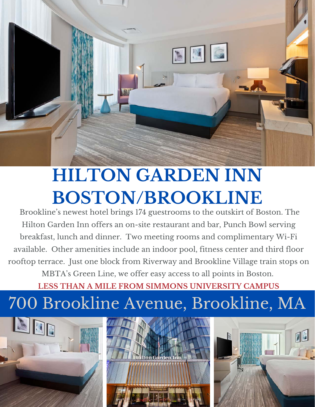

# **HILTON GARDEN INN BOSTON/BROOKLINE**

Brookline's newest hotel brings 174 guestrooms to the outskirt of Boston. The Hilton Garden Inn offers an on-site restaurant and bar, Punch Bowl serving breakfast, lunch and dinner. Two meeting rooms and complimentary Wi-Fi available. Other amenities include an indoor pool, fitness center and third floor rooftop terrace. Just one block from Riverway and Brookline Village train stops on MBTA's Green Line, we offer easy access to all points in Boston.

**LESS THAN A MILE FROM SIMMONS UNIVERSITY CAMPUS**

## 700 Brookline Avenue, Brookline, MA